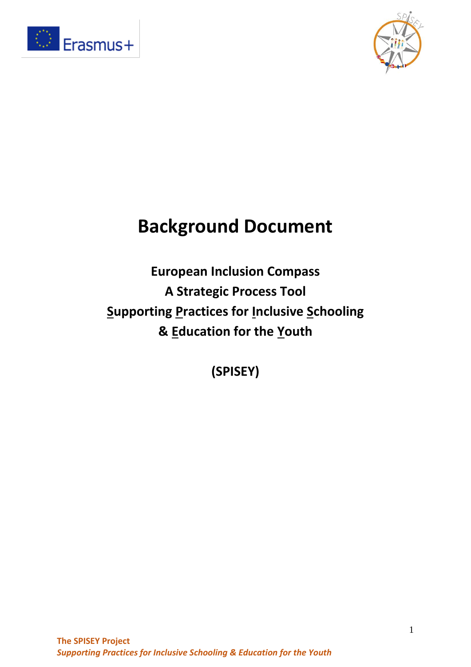



# **Background Document**

**European Inclusion Compass A Strategic Process Tool Supporting Practices for Inclusive Schooling & Education for the Youth**

**(SPISEY)**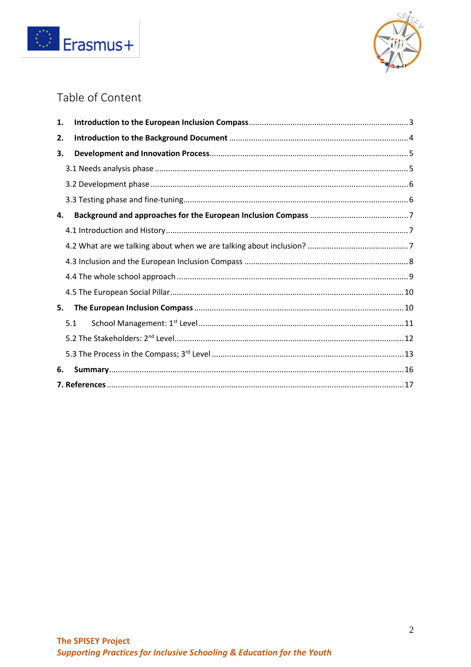



# Table of Content

| 1. |     |  |
|----|-----|--|
| 2. |     |  |
| 3. |     |  |
|    |     |  |
|    |     |  |
|    |     |  |
| 4. |     |  |
|    |     |  |
|    |     |  |
|    |     |  |
|    |     |  |
|    |     |  |
| 5. |     |  |
|    | 5.1 |  |
|    |     |  |
|    |     |  |
| 6. |     |  |
|    |     |  |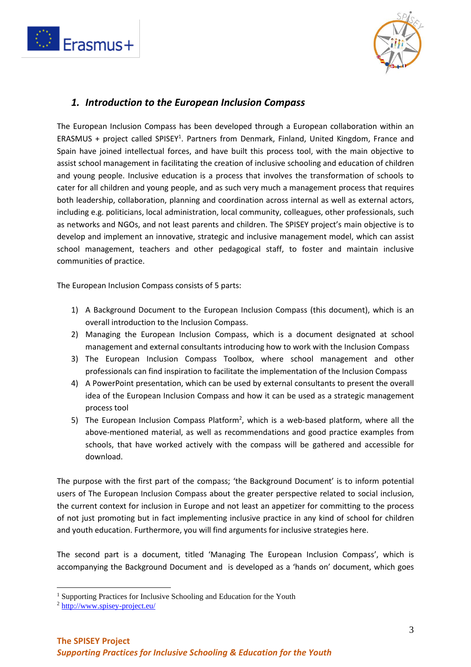



#### <span id="page-2-0"></span>*1. Introduction to the European Inclusion Compass*

The European Inclusion Compass has been developed through a European collaboration within an ERASMUS + project called SPISEY<sup>1</sup>. Partners from Denmark, Finland, United Kingdom, France and Spain have joined intellectual forces, and have built this process tool, with the main objective to assist school management in facilitating the creation of inclusive schooling and education of children and young people. Inclusive education is a process that involves the transformation of schools to cater for all children and young people, and as such very much a management process that requires both leadership, collaboration, planning and coordination across internal as well as external actors, including e.g. politicians, local administration, local community, colleagues, other professionals, such as networks and NGOs, and not least parents and children. The SPISEY project's main objective is to develop and implement an innovative, strategic and inclusive management model, which can assist school management, teachers and other pedagogical staff, to foster and maintain inclusive communities of practice.

The European Inclusion Compass consists of 5 parts:

- 1) A Background Document to the European Inclusion Compass (this document), which is an overall introduction to the Inclusion Compass.
- 2) Managing the European Inclusion Compass, which is a document designated at school management and external consultants introducing how to work with the Inclusion Compass
- 3) The European Inclusion Compass Toolbox, where school management and other professionals can find inspiration to facilitate the implementation of the Inclusion Compass
- 4) A PowerPoint presentation, which can be used by external consultants to present the overall idea of the European Inclusion Compass and how it can be used as a strategic management process tool
- 5) The European Inclusion Compass Platform<sup>2</sup>, which is a web-based platform, where all the above-mentioned material, as well as recommendations and good practice examples from schools, that have worked actively with the compass will be gathered and accessible for download.

The purpose with the first part of the compass; 'the Background Document' is to inform potential users of The European Inclusion Compass about the greater perspective related to social inclusion, the current context for inclusion in Europe and not least an appetizer for committing to the process of not just promoting but in fact implementing inclusive practice in any kind of school for children and youth education. Furthermore, you will find arguments for inclusive strategies here.

The second part is a document, titled 'Managing The European Inclusion Compass', which is accompanying the Background Document and is developed as a 'hands on' document, which goes

<sup>&</sup>lt;sup>1</sup> Supporting Practices for Inclusive Schooling and Education for the Youth

<sup>2</sup> <http://www.spisey-project.eu/>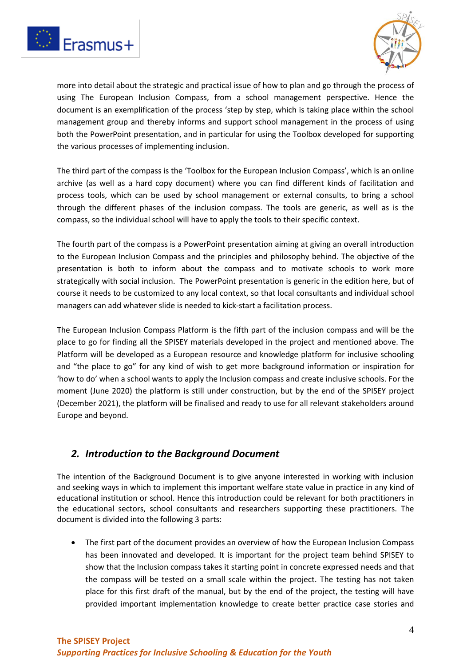



more into detail about the strategic and practical issue of how to plan and go through the process of using The European Inclusion Compass, from a school management perspective. Hence the document is an exemplification of the process 'step by step, which is taking place within the school management group and thereby informs and support school management in the process of using both the PowerPoint presentation, and in particular for using the Toolbox developed for supporting the various processes of implementing inclusion.

The third part of the compass is the 'Toolbox for the European Inclusion Compass', which is an online archive (as well as a hard copy document) where you can find different kinds of facilitation and process tools, which can be used by school management or external consults, to bring a school through the different phases of the inclusion compass. The tools are generic, as well as is the compass, so the individual school will have to apply the tools to their specific context.

The fourth part of the compass is a PowerPoint presentation aiming at giving an overall introduction to the European Inclusion Compass and the principles and philosophy behind. The objective of the presentation is both to inform about the compass and to motivate schools to work more strategically with social inclusion. The PowerPoint presentation is generic in the edition here, but of course it needs to be customized to any local context, so that local consultants and individual school managers can add whatever slide is needed to kick-start a facilitation process.

The European Inclusion Compass Platform is the fifth part of the inclusion compass and will be the place to go for finding all the SPISEY materials developed in the project and mentioned above. The Platform will be developed as a European resource and knowledge platform for inclusive schooling and "the place to go" for any kind of wish to get more background information or inspiration for 'how to do' when a school wants to apply the Inclusion compass and create inclusive schools. For the moment (June 2020) the platform is still under construction, but by the end of the SPISEY project (December 2021), the platform will be finalised and ready to use for all relevant stakeholders around Europe and beyond.

#### <span id="page-3-0"></span>*2. Introduction to the Background Document*

The intention of the Background Document is to give anyone interested in working with inclusion and seeking ways in which to implement this important welfare state value in practice in any kind of educational institution or school. Hence this introduction could be relevant for both practitioners in the educational sectors, school consultants and researchers supporting these practitioners. The document is divided into the following 3 parts:

• The first part of the document provides an overview of how the European Inclusion Compass has been innovated and developed. It is important for the project team behind SPISEY to show that the Inclusion compass takes it starting point in concrete expressed needs and that the compass will be tested on a small scale within the project. The testing has not taken place for this first draft of the manual, but by the end of the project, the testing will have provided important implementation knowledge to create better practice case stories and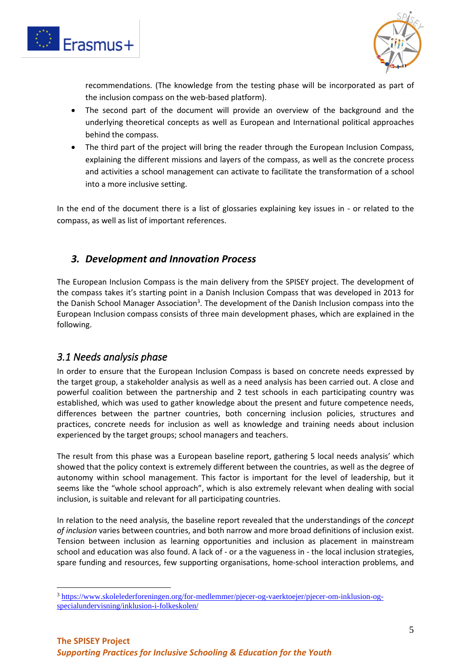



recommendations. (The knowledge from the testing phase will be incorporated as part of the inclusion compass on the web-based platform).

- The second part of the document will provide an overview of the background and the underlying theoretical concepts as well as European and International political approaches behind the compass.
- The third part of the project will bring the reader through the European Inclusion Compass, explaining the different missions and layers of the compass, as well as the concrete process and activities a school management can activate to facilitate the transformation of a school into a more inclusive setting.

In the end of the document there is a list of glossaries explaining key issues in - or related to the compass, as well as list of important references.

# <span id="page-4-0"></span>*3. Development and Innovation Process*

The European Inclusion Compass is the main delivery from the SPISEY project. The development of the compass takes it's starting point in a Danish Inclusion Compass that was developed in 2013 for the Danish School Manager Association<sup>3</sup>. The development of the Danish Inclusion compass into the European Inclusion compass consists of three main development phases, which are explained in the following.

# <span id="page-4-1"></span>*3.1 Needs analysis phase*

In order to ensure that the European Inclusion Compass is based on concrete needs expressed by the target group, a stakeholder analysis as well as a need analysis has been carried out. A close and powerful coalition between the partnership and 2 test schools in each participating country was established, which was used to gather knowledge about the present and future competence needs, differences between the partner countries, both concerning inclusion policies, structures and practices, concrete needs for inclusion as well as knowledge and training needs about inclusion experienced by the target groups; school managers and teachers.

The result from this phase was a European baseline report, gathering 5 local needs analysis' which showed that the policy context is extremely different between the countries, as well as the degree of autonomy within school management. This factor is important for the level of leadership, but it seems like the "whole school approach", which is also extremely relevant when dealing with social inclusion, is suitable and relevant for all participating countries.

In relation to the need analysis, the baseline report revealed that the understandings of the *concept of inclusion* varies between countries, and both narrow and more broad definitions of inclusion exist. Tension between inclusion as learning opportunities and inclusion as placement in mainstream school and education was also found. A lack of - or a the vagueness in - the local inclusion strategies, spare funding and resources, few supporting organisations, home-school interaction problems, and

<sup>3</sup> [https://www.skolelederforeningen.org/for-medlemmer/pjecer-og-vaerktoejer/pjecer-om-inklusion-og](https://www.skolelederforeningen.org/for-medlemmer/pjecer-og-vaerktoejer/pjecer-om-inklusion-og-specialundervisning/inklusion-i-folkeskolen/)[specialundervisning/inklusion-i-folkeskolen/](https://www.skolelederforeningen.org/for-medlemmer/pjecer-og-vaerktoejer/pjecer-om-inklusion-og-specialundervisning/inklusion-i-folkeskolen/)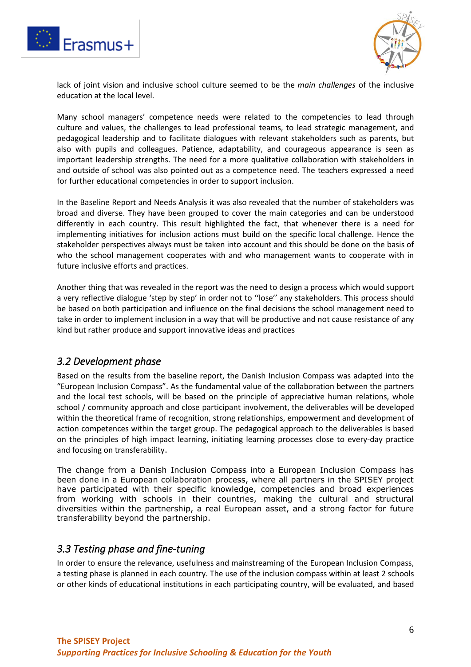



lack of joint vision and inclusive school culture seemed to be the *main challenges* of the inclusive education at the local level.

Many school managers' competence needs were related to the competencies to lead through culture and values, the challenges to lead professional teams, to lead strategic management, and pedagogical leadership and to facilitate dialogues with relevant stakeholders such as parents, but also with pupils and colleagues. Patience, adaptability, and courageous appearance is seen as important leadership strengths. The need for a more qualitative collaboration with stakeholders in and outside of school was also pointed out as a competence need. The teachers expressed a need for further educational competencies in order to support inclusion.

In the Baseline Report and Needs Analysis it was also revealed that the number of stakeholders was broad and diverse. They have been grouped to cover the main categories and can be understood differently in each country. This result highlighted the fact, that whenever there is a need for implementing initiatives for inclusion actions must build on the specific local challenge. Hence the stakeholder perspectives always must be taken into account and this should be done on the basis of who the school management cooperates with and who management wants to cooperate with in future inclusive efforts and practices.

Another thing that was revealed in the report was the need to design a process which would support a very reflective dialogue 'step by step' in order not to ''lose'' any stakeholders. This process should be based on both participation and influence on the final decisions the school management need to take in order to implement inclusion in a way that will be productive and not cause resistance of any kind but rather produce and support innovative ideas and practices

#### <span id="page-5-0"></span>*3.2 Development phase*

Based on the results from the baseline report, the Danish Inclusion Compass was adapted into the "European Inclusion Compass". As the fundamental value of the collaboration between the partners and the local test schools, will be based on the principle of appreciative human relations, whole school / community approach and close participant involvement, the deliverables will be developed within the theoretical frame of recognition, strong relationships, empowerment and development of action competences within the target group. The pedagogical approach to the deliverables is based on the principles of high impact learning, initiating learning processes close to every-day practice and focusing on transferability.

The change from a Danish Inclusion Compass into a European Inclusion Compass has been done in a European collaboration process, where all partners in the SPISEY project have participated with their specific knowledge, competencies and broad experiences from working with schools in their countries, making the cultural and structural diversities within the partnership, a real European asset, and a strong factor for future transferability beyond the partnership.

#### <span id="page-5-1"></span>*3.3 Testing phase and fine-tuning*

In order to ensure the relevance, usefulness and mainstreaming of the European Inclusion Compass, a testing phase is planned in each country. The use of the inclusion compass within at least 2 schools or other kinds of educational institutions in each participating country, will be evaluated, and based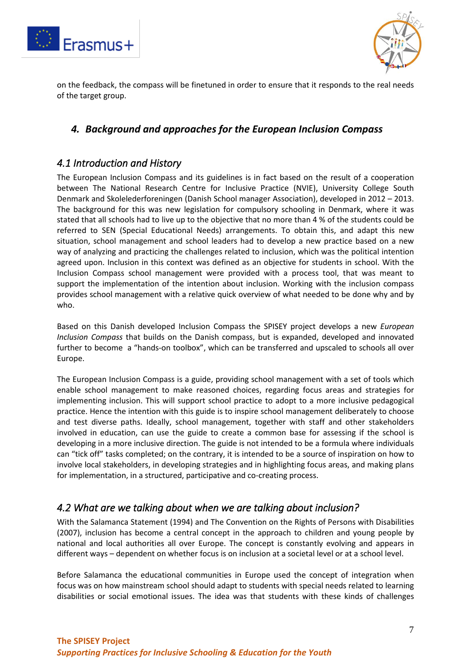



on the feedback, the compass will be finetuned in order to ensure that it responds to the real needs of the target group.

#### <span id="page-6-0"></span>*4. Background and approaches for the European Inclusion Compass*

#### <span id="page-6-1"></span>*4.1 Introduction and History*

The European Inclusion Compass and its guidelines is in fact based on the result of a cooperation between The National Research Centre for Inclusive Practice (NVIE), University College South Denmark and Skolelederforeningen (Danish School manager Association), developed in 2012 – 2013. The background for this was new legislation for compulsory schooling in Denmark, where it was stated that all schools had to live up to the objective that no more than 4 % of the students could be referred to SEN (Special Educational Needs) arrangements. To obtain this, and adapt this new situation, school management and school leaders had to develop a new practice based on a new way of analyzing and practicing the challenges related to inclusion, which was the political intention agreed upon. Inclusion in this context was defined as an objective for students in school. With the Inclusion Compass school management were provided with a process tool, that was meant to support the implementation of the intention about inclusion. Working with the inclusion compass provides school management with a relative quick overview of what needed to be done why and by who.

Based on this Danish developed Inclusion Compass the SPISEY project develops a new *European Inclusion Compass* that builds on the Danish compass, but is expanded, developed and innovated further to become a "hands-on toolbox", which can be transferred and upscaled to schools all over Europe.

The European Inclusion Compass is a guide, providing school management with a set of tools which enable school management to make reasoned choices, regarding focus areas and strategies for implementing inclusion. This will support school practice to adopt to a more inclusive pedagogical practice. Hence the intention with this guide is to inspire school management deliberately to choose and test diverse paths. Ideally, school management, together with staff and other stakeholders involved in education, can use the guide to create a common base for assessing if the school is developing in a more inclusive direction. The guide is not intended to be a formula where individuals can "tick off" tasks completed; on the contrary, it is intended to be a source of inspiration on how to involve local stakeholders, in developing strategies and in highlighting focus areas, and making plans for implementation, in a structured, participative and co-creating process.

# <span id="page-6-2"></span>*4.2 What are we talking about when we are talking about inclusion?*

With the Salamanca Statement (1994) and The Convention on the Rights of Persons with Disabilities (2007), inclusion has become a central concept in the approach to children and young people by national and local authorities all over Europe. The concept is constantly evolving and appears in different ways – dependent on whether focus is on inclusion at a societal level or at a school level.

Before Salamanca the educational communities in Europe used the concept of integration when focus was on how mainstream school should adapt to students with special needs related to learning disabilities or social emotional issues. The idea was that students with these kinds of challenges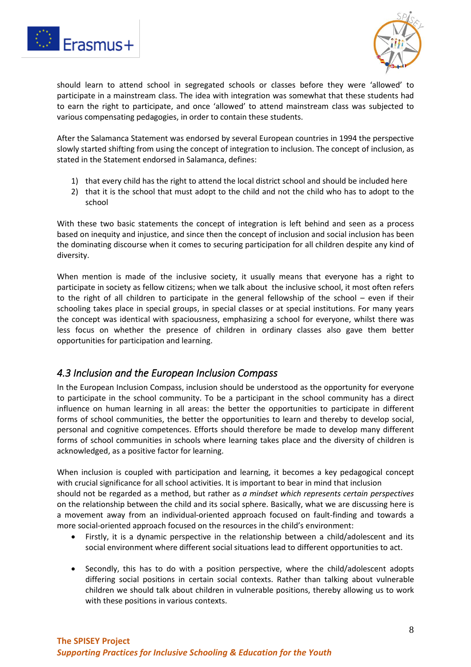



should learn to attend school in segregated schools or classes before they were 'allowed' to participate in a mainstream class. The idea with integration was somewhat that these students had to earn the right to participate, and once 'allowed' to attend mainstream class was subjected to various compensating pedagogies, in order to contain these students.

After the Salamanca Statement was endorsed by several European countries in 1994 the perspective slowly started shifting from using the concept of integration to inclusion. The concept of inclusion, as stated in the Statement endorsed in Salamanca, defines:

- 1) that every child has the right to attend the local district school and should be included here
- 2) that it is the school that must adopt to the child and not the child who has to adopt to the school

With these two basic statements the concept of integration is left behind and seen as a process based on inequity and injustice, and since then the concept of inclusion and social inclusion has been the dominating discourse when it comes to securing participation for all children despite any kind of diversity.

When mention is made of the inclusive society, it usually means that everyone has a right to participate in society as fellow citizens; when we talk about the inclusive school, it most often refers to the right of all children to participate in the general fellowship of the school – even if their schooling takes place in special groups, in special classes or at special institutions. For many years the concept was identical with spaciousness, emphasizing a school for everyone, whilst there was less focus on whether the presence of children in ordinary classes also gave them better opportunities for participation and learning.

# <span id="page-7-0"></span>*4.3 Inclusion and the European Inclusion Compass*

In the European Inclusion Compass, inclusion should be understood as the opportunity for everyone to participate in the school community. To be a participant in the school community has a direct influence on human learning in all areas: the better the opportunities to participate in different forms of school communities, the better the opportunities to learn and thereby to develop social, personal and cognitive competences. Efforts should therefore be made to develop many different forms of school communities in schools where learning takes place and the diversity of children is acknowledged, as a positive factor for learning.

When inclusion is coupled with participation and learning, it becomes a key pedagogical concept with crucial significance for all school activities. It is important to bear in mind that inclusion should not be regarded as a method, but rather as *a mindset which represents certain perspectives* on the relationship between the child and its social sphere. Basically, what we are discussing here is a movement away from an individual-oriented approach focused on fault-finding and towards a more social-oriented approach focused on the resources in the child's environment:

- Firstly, it is a dynamic perspective in the relationship between a child/adolescent and its social environment where different social situations lead to different opportunities to act.
- Secondly, this has to do with a position perspective, where the child/adolescent adopts differing social positions in certain social contexts. Rather than talking about vulnerable children we should talk about children in vulnerable positions, thereby allowing us to work with these positions in various contexts.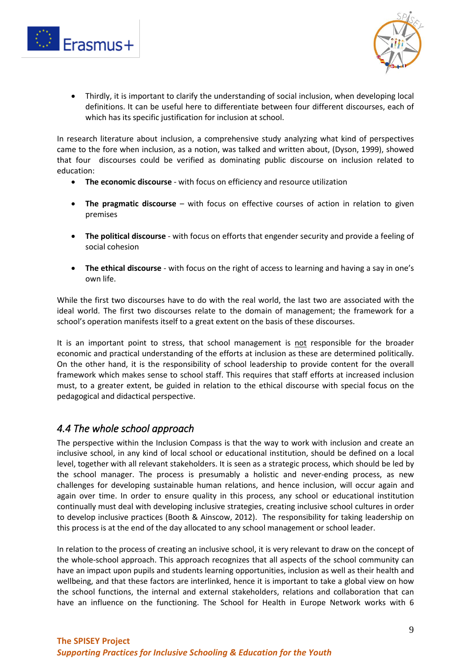



• Thirdly, it is important to clarify the understanding of social inclusion, when developing local definitions. It can be useful here to differentiate between four different discourses, each of which has its specific justification for inclusion at school.

In research literature about inclusion, a comprehensive study analyzing what kind of perspectives came to the fore when inclusion, as a notion, was talked and written about, (Dyson, 1999), showed that four discourses could be verified as dominating public discourse on inclusion related to education:

- **The economic discourse**  with focus on efficiency and resource utilization
- **The pragmatic discourse**  with focus on effective courses of action in relation to given premises
- **The political discourse**  with focus on efforts that engender security and provide a feeling of social cohesion
- **The ethical discourse**  with focus on the right of access to learning and having a say in one's own life.

While the first two discourses have to do with the real world, the last two are associated with the ideal world. The first two discourses relate to the domain of management; the framework for a school's operation manifests itself to a great extent on the basis of these discourses.

It is an important point to stress, that school management is not responsible for the broader economic and practical understanding of the efforts at inclusion as these are determined politically. On the other hand, it is the responsibility of school leadership to provide content for the overall framework which makes sense to school staff. This requires that staff efforts at increased inclusion must, to a greater extent, be guided in relation to the ethical discourse with special focus on the pedagogical and didactical perspective.

# <span id="page-8-0"></span>*4.4 The whole school approach*

The perspective within the Inclusion Compass is that the way to work with inclusion and create an inclusive school, in any kind of local school or educational institution, should be defined on a local level, together with all relevant stakeholders. It is seen as a strategic process, which should be led by the school manager. The process is presumably a holistic and never-ending process, as new challenges for developing sustainable human relations, and hence inclusion, will occur again and again over time. In order to ensure quality in this process, any school or educational institution continually must deal with developing inclusive strategies, creating inclusive school cultures in order to develop inclusive practices (Booth & Ainscow, 2012). The responsibility for taking leadership on this process is at the end of the day allocated to any school management or school leader.

In relation to the process of creating an inclusive school, it is very relevant to draw on the concept of the whole-school approach. This approach recognizes that all aspects of the school community can have an impact upon pupils and students learning opportunities, inclusion as well as their health and wellbeing, and that these factors are interlinked, hence it is important to take a global view on how the school functions, the internal and external stakeholders, relations and collaboration that can have an influence on the functioning. The School for Health in Europe Network works with 6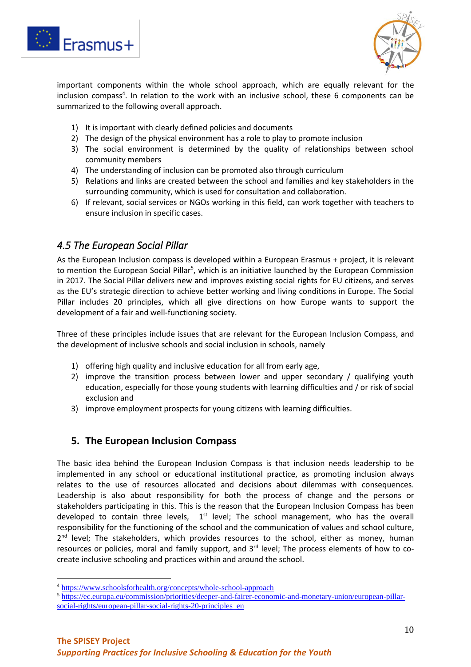



important components within the whole school approach, which are equally relevant for the inclusion compass<sup>4</sup>. In relation to the work with an inclusive school, these 6 components can be summarized to the following overall approach.

- 1) It is important with clearly defined policies and documents
- 2) The design of the physical environment has a role to play to promote inclusion
- 3) The social environment is determined by the quality of relationships between school community members
- 4) The understanding of inclusion can be promoted also through curriculum
- 5) Relations and links are created between the school and families and key stakeholders in the surrounding community, which is used for consultation and collaboration.
- 6) If relevant, social services or NGOs working in this field, can work together with teachers to ensure inclusion in specific cases.

#### <span id="page-9-0"></span>*4.5 The European Social Pillar*

As the European Inclusion compass is developed within a European Erasmus + project, it is relevant to mention the European Social Pillar<sup>5</sup>, which is an initiative launched by the European Commission in 2017. The Social Pillar delivers new and improves existing social rights for EU citizens, and serves as the EU's strategic direction to achieve better working and living conditions in Europe. The Social Pillar includes 20 principles, which all give directions on how Europe wants to support the development of a fair and well-functioning society.

Three of these principles include issues that are relevant for the European Inclusion Compass, and the development of inclusive schools and social inclusion in schools, namely

- 1) offering high quality and inclusive education for all from early age,
- 2) improve the transition process between lower and upper secondary / qualifying youth education, especially for those young students with learning difficulties and / or risk of social exclusion and
- 3) improve employment prospects for young citizens with learning difficulties.

#### <span id="page-9-1"></span>**5. The European Inclusion Compass**

The basic idea behind the European Inclusion Compass is that inclusion needs leadership to be implemented in any school or educational institutional practice, as promoting inclusion always relates to the use of resources allocated and decisions about dilemmas with consequences. Leadership is also about responsibility for both the process of change and the persons or stakeholders participating in this. This is the reason that the European Inclusion Compass has been developed to contain three levels,  $1<sup>st</sup>$  level; The school management, who has the overall responsibility for the functioning of the school and the communication of values and school culture, 2<sup>nd</sup> level; The stakeholders, which provides resources to the school, either as money, human resources or policies, moral and family support, and 3<sup>rd</sup> level; The process elements of how to cocreate inclusive schooling and practices within and around the school.

<sup>4</sup> <https://www.schoolsforhealth.org/concepts/whole-school-approach>

<sup>5</sup> [https://ec.europa.eu/commission/priorities/deeper-and-fairer-economic-and-monetary-union/european-pillar](https://ec.europa.eu/commission/priorities/deeper-and-fairer-economic-and-monetary-union/european-pillar-social-rights/european-pillar-social-rights-20-principles_en)[social-rights/european-pillar-social-rights-20-principles\\_en](https://ec.europa.eu/commission/priorities/deeper-and-fairer-economic-and-monetary-union/european-pillar-social-rights/european-pillar-social-rights-20-principles_en)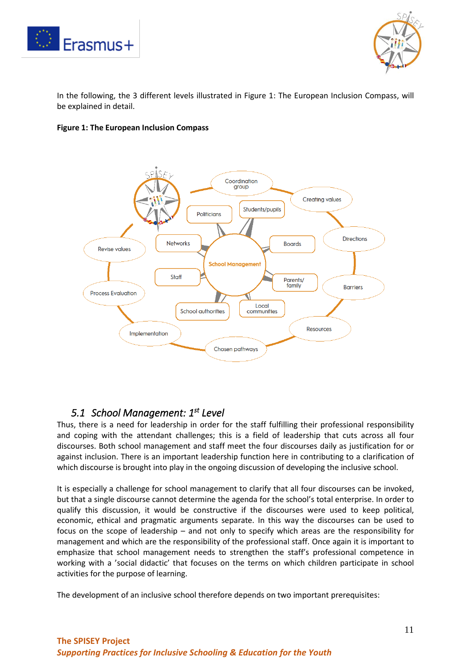



In the following, the 3 different levels illustrated in Figure 1: The European Inclusion Compass, will be explained in detail.

#### **Figure 1: The European Inclusion Compass**



# <span id="page-10-0"></span>*5.1 School Management: 1st Level*

Thus, there is a need for leadership in order for the staff fulfilling their professional responsibility and coping with the attendant challenges; this is a field of leadership that cuts across all four discourses. Both school management and staff meet the four discourses daily as justification for or against inclusion. There is an important leadership function here in contributing to a clarification of which discourse is brought into play in the ongoing discussion of developing the inclusive school.

It is especially a challenge for school management to clarify that all four discourses can be invoked, but that a single discourse cannot determine the agenda for the school's total enterprise. In order to qualify this discussion, it would be constructive if the discourses were used to keep political, economic, ethical and pragmatic arguments separate. In this way the discourses can be used to focus on the scope of leadership – and not only to specify which areas are the responsibility for management and which are the responsibility of the professional staff. Once again it is important to emphasize that school management needs to strengthen the staff's professional competence in working with a 'social didactic' that focuses on the terms on which children participate in school activities for the purpose of learning.

The development of an inclusive school therefore depends on two important prerequisites: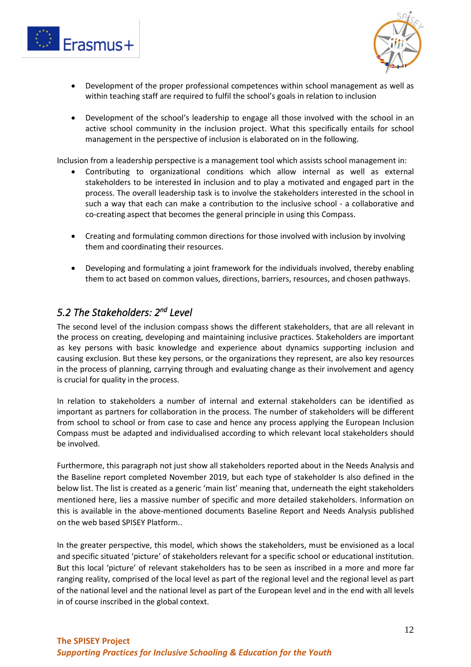



- Development of the proper professional competences within school management as well as within teaching staff are required to fulfil the school's goals in relation to inclusion
- Development of the school's leadership to engage all those involved with the school in an active school community in the inclusion project. What this specifically entails for school management in the perspective of inclusion is elaborated on in the following.

Inclusion from a leadership perspective is a management tool which assists school management in:

- Contributing to organizational conditions which allow internal as well as external stakeholders to be interested **i**n inclusion and to play a motivated and engaged part in the process. The overall leadership task is to involve the stakeholders interested in the school in such a way that each can make a contribution to the inclusive school - a collaborative and co-creating aspect that becomes the general principle in using this Compass.
- Creating and formulating common directions for those involved with inclusion by involving them and coordinating their resources.
- Developing and formulating a joint framework for the individuals involved, thereby enabling them to act based on common values, directions, barriers, resources, and chosen pathways.

# <span id="page-11-0"></span>*5.2 The Stakeholders: 2 nd Level*

The second level of the inclusion compass shows the different stakeholders, that are all relevant in the process on creating, developing and maintaining inclusive practices. Stakeholders are important as key persons with basic knowledge and experience about dynamics supporting inclusion and causing exclusion. But these key persons, or the organizations they represent, are also key resources in the process of planning, carrying through and evaluating change as their involvement and agency is crucial for quality in the process.

In relation to stakeholders a number of internal and external stakeholders can be identified as important as partners for collaboration in the process. The number of stakeholders will be different from school to school or from case to case and hence any process applying the European Inclusion Compass must be adapted and individualised according to which relevant local stakeholders should be involved.

Furthermore, this paragraph not just show all stakeholders reported about in the Needs Analysis and the Baseline report completed November 2019, but each type of stakeholder Is also defined in the below list. The list is created as a generic 'main list' meaning that, underneath the eight stakeholders mentioned here, lies a massive number of specific and more detailed stakeholders. Information on this is available in the above-mentioned documents Baseline Report and Needs Analysis published on the web based SPISEY Platform..

In the greater perspective, this model, which shows the stakeholders, must be envisioned as a local and specific situated 'picture' of stakeholders relevant for a specific school or educational institution. But this local 'picture' of relevant stakeholders has to be seen as inscribed in a more and more far ranging reality, comprised of the local level as part of the regional level and the regional level as part of the national level and the national level as part of the European level and in the end with all levels in of course inscribed in the global context.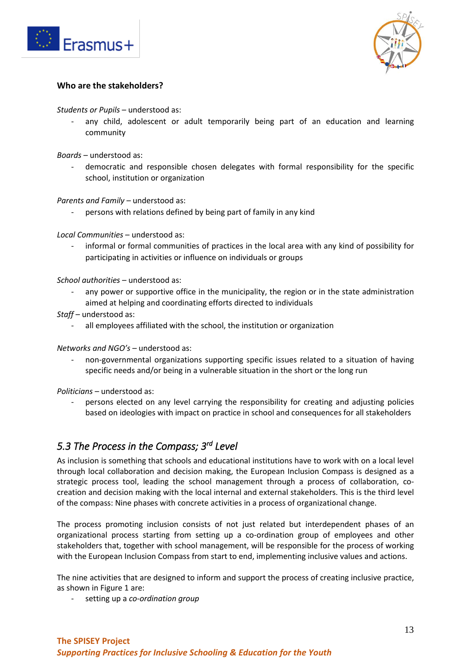



#### **Who are the stakeholders?**

*Students or Pupils* – understood as:

any child, adolescent or adult temporarily being part of an education and learning community

*Boards* – understood as:

democratic and responsible chosen delegates with formal responsibility for the specific school, institution or organization

*Parents and Family –* understood as:

persons with relations defined by being part of family in any kind

*Local Communities* – understood as:

- informal or formal communities of practices in the local area with any kind of possibility for participating in activities or influence on individuals or groups

*School authorities* – understood as:

- any power or supportive office in the municipality, the region or in the state administration aimed at helping and coordinating efforts directed to individuals
- *Staff* understood as:
	- all employees affiliated with the school, the institution or organization

*Networks and NGO's –* understood as:

- non-governmental organizations supporting specific issues related to a situation of having specific needs and/or being in a vulnerable situation in the short or the long run

*Politicians* – understood as:

persons elected on any level carrying the responsibility for creating and adjusting policies based on ideologies with impact on practice in school and consequences for all stakeholders

# <span id="page-12-0"></span>*5.3 The Process in the Compass; 3 rd Level*

As inclusion is something that schools and educational institutions have to work with on a local level through local collaboration and decision making, the European Inclusion Compass is designed as a strategic process tool, leading the school management through a process of collaboration, cocreation and decision making with the local internal and external stakeholders. This is the third level of the compass: Nine phases with concrete activities in a process of organizational change.

The process promoting inclusion consists of not just related but interdependent phases of an organizational process starting from setting up a co-ordination group of employees and other stakeholders that, together with school management, will be responsible for the process of working with the European Inclusion Compass from start to end, implementing inclusive values and actions.

The nine activities that are designed to inform and support the process of creating inclusive practice, as shown in Figure 1 are:

- setting up a *co-ordination group*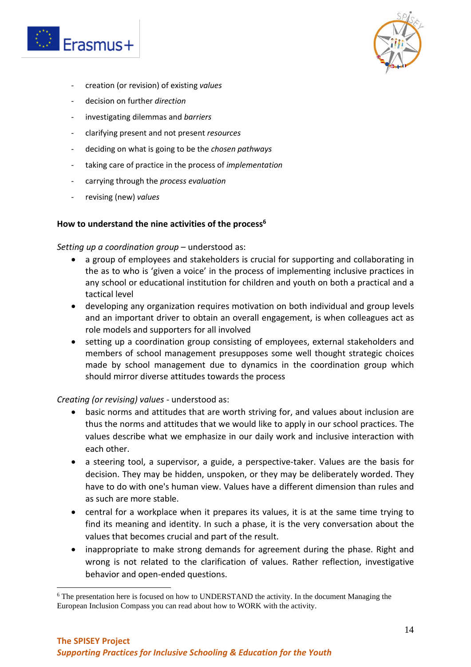



- creation (or revision) of existing *values*
- decision on further *direction*
- investigating dilemmas and *barriers*
- clarifying present and not present *resources*
- deciding on what is going to be the *chosen pathways*
- taking care of practice in the process of *implementation*
- carrying through the *process evaluation*
- revising (new) *values*

#### **How to understand the nine activities of the process<sup>6</sup>**

*Setting up a coordination group* – understood as:

- a group of employees and stakeholders is crucial for supporting and collaborating in the as to who is 'given a voice' in the process of implementing inclusive practices in any school or educational institution for children and youth on both a practical and a tactical level
- developing any organization requires motivation on both individual and group levels and an important driver to obtain an overall engagement, is when colleagues act as role models and supporters for all involved
- setting up a coordination group consisting of employees, external stakeholders and members of school management presupposes some well thought strategic choices made by school management due to dynamics in the coordination group which should mirror diverse attitudes towards the process

*Creating (or revising) values -* understood as:

- basic norms and attitudes that are worth striving for, and values about inclusion are thus the norms and attitudes that we would like to apply in our school practices. The values describe what we emphasize in our daily work and inclusive interaction with each other.
- a steering tool, a supervisor, a guide, a perspective-taker. Values are the basis for decision. They may be hidden, unspoken, or they may be deliberately worded. They have to do with one's human view. Values have a different dimension than rules and as such are more stable.
- central for a workplace when it prepares its values, it is at the same time trying to find its meaning and identity. In such a phase, it is the very conversation about the values that becomes crucial and part of the result.
- inappropriate to make strong demands for agreement during the phase. Right and wrong is not related to the clarification of values. Rather reflection, investigative behavior and open-ended questions.

<sup>&</sup>lt;sup>6</sup> The presentation here is focused on how to UNDERSTAND the activity. In the document Managing the European Inclusion Compass you can read about how to WORK with the activity.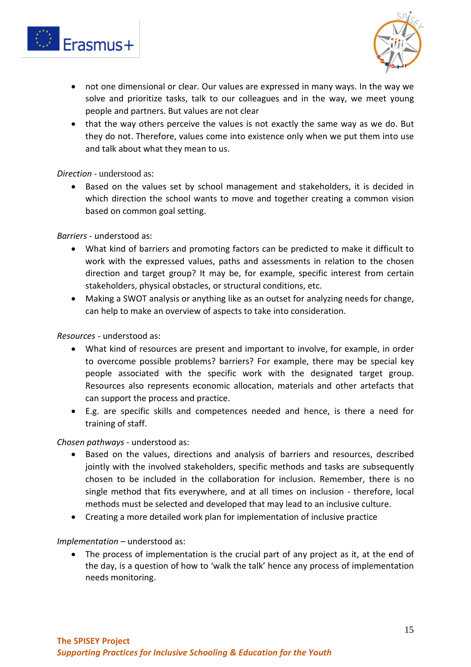



- not one dimensional or clear. Our values are expressed in many ways. In the way we solve and prioritize tasks, talk to our colleagues and in the way, we meet young people and partners. But values are not clear
- that the way others perceive the values is not exactly the same way as we do. But they do not. Therefore, values come into existence only when we put them into use and talk about what they mean to us.

*Direction -* understood as:

• Based on the values set by school management and stakeholders, it is decided in which direction the school wants to move and together creating a common vision based on common goal setting.

*Barriers* - understood as:

- What kind of barriers and promoting factors can be predicted to make it difficult to work with the expressed values, paths and assessments in relation to the chosen direction and target group? It may be, for example, specific interest from certain stakeholders, physical obstacles, or structural conditions, etc.
- Making a SWOT analysis or anything like as an outset for analyzing needs for change, can help to make an overview of aspects to take into consideration.

*Resources -* understood as:

- What kind of resources are present and important to involve, for example, in order to overcome possible problems? barriers? For example, there may be special key people associated with the specific work with the designated target group. Resources also represents economic allocation, materials and other artefacts that can support the process and practice.
- E.g. are specific skills and competences needed and hence, is there a need for training of staff.

*Chosen pathways -* understood as:

- Based on the values, directions and analysis of barriers and resources, described jointly with the involved stakeholders, specific methods and tasks are subsequently chosen to be included in the collaboration for inclusion. Remember, there is no single method that fits everywhere, and at all times on inclusion - therefore, local methods must be selected and developed that may lead to an inclusive culture.
- Creating a more detailed work plan for implementation of inclusive practice

*Implementation –* understood as:

• The process of implementation is the crucial part of any project as it, at the end of the day, is a question of how to 'walk the talk' hence any process of implementation needs monitoring.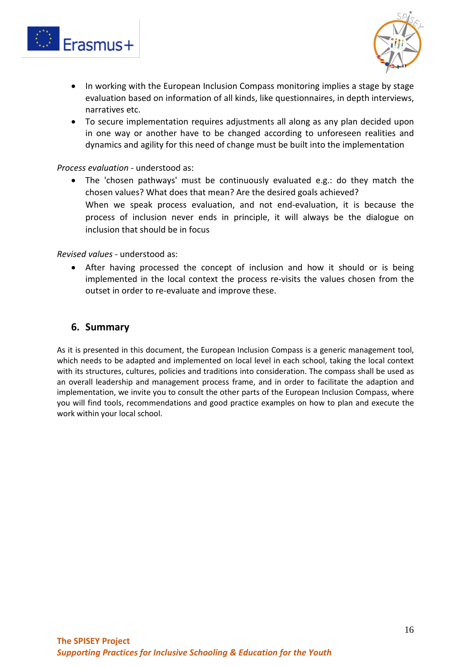



- In working with the European Inclusion Compass monitoring implies a stage by stage evaluation based on information of all kinds, like questionnaires, in depth interviews, narratives etc.
- To secure implementation requires adjustments all along as any plan decided upon in one way or another have to be changed according to unforeseen realities and dynamics and agility for this need of change must be built into the implementation

#### *Process evaluation -* understood as:

• The 'chosen pathways' must be continuously evaluated e.g.: do they match the chosen values? What does that mean? Are the desired goals achieved? When we speak process evaluation, and not end-evaluation, it is because the process of inclusion never ends in principle, it will always be the dialogue on inclusion that should be in focus

#### *Revised values* - understood as:

• After having processed the concept of inclusion and how it should or is being implemented in the local context the process re-visits the values chosen from the outset in order to re-evaluate and improve these.

#### <span id="page-15-0"></span>**6. Summary**

As it is presented in this document, the European Inclusion Compass is a generic management tool, which needs to be adapted and implemented on local level in each school, taking the local context with its structures, cultures, policies and traditions into consideration. The compass shall be used as an overall leadership and management process frame, and in order to facilitate the adaption and implementation, we invite you to consult the other parts of the European Inclusion Compass, where you will find tools, recommendations and good practice examples on how to plan and execute the work within your local school.